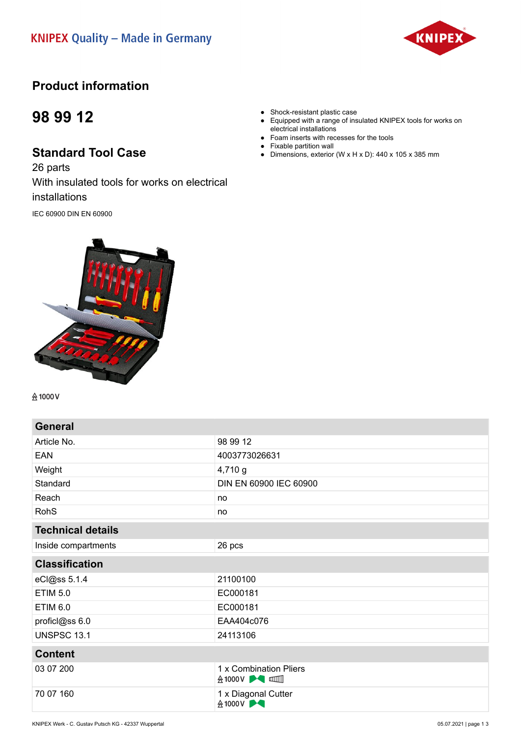

## **Product information**

## **98 99 12**

## **Standard Tool Case**

26 parts With insulated tools for works on electrical installations

IEC 60900 DIN EN 60900



**A1000V** 

**General** Article No. 2008 2012 EAN 4003773026631 Weight 4,710 g Standard **DIN EN 60900 IEC 60900** Reach no contract the contract of the contract of the contract of the contract of the contract of the contract of the contract of the contract of the contract of the contract of the contract of the contract of the contract RohS no not a series and the series of the series of the series of the series of the series of the series of the series of the series of the series of the series of the series of the series of the series of the series of t **Technical details** Inside compartments 26 pcs **Classification** eCl@ss 5.1.4 21100100 ETIM 5.0 **EXECUTE 2.5** EC000181 ETIM 6.0 proficl@ss 6.0 EAA404c076 UNSPSC 13.1 24113106 **Content** 03 07 200  $\begin{array}{c|c} 1 \times \text{Combination Pliers} \\ \hline \end{array}$ 70 07 160 1 x Diagonal Cutter<br>
<del>Δ</del> 1000 V

- Shock-resistant plastic case
- Equipped with a range of insulated KNIPEX tools for works on electrical installations
- Foam inserts with recesses for the tools
- Fixable partition wall
- Dimensions, exterior (W x H x D): 440 x 105 x 385 mm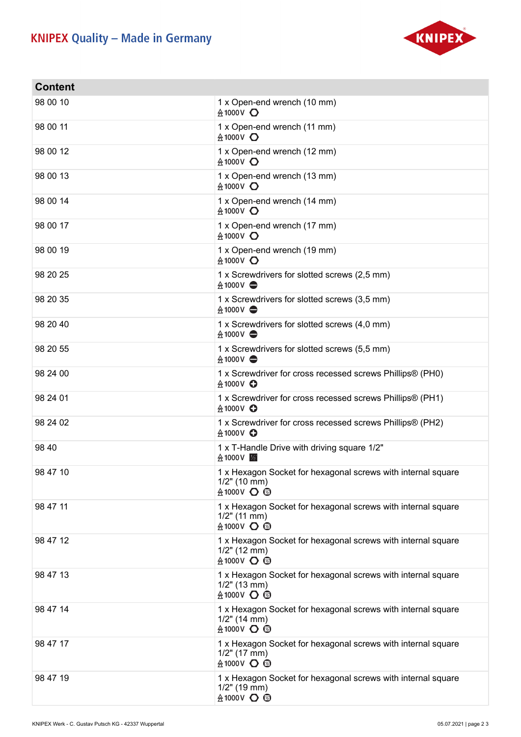## **KNIPEX Quality - Made in Germany**



| <b>Content</b> |                                                                                                      |
|----------------|------------------------------------------------------------------------------------------------------|
| 98 00 10       | 1 x Open-end wrench (10 mm)<br>A 1000 V ○                                                            |
| 98 00 11       | 1 x Open-end wrench (11 mm)<br>$&1000V$ $\bullet$                                                    |
| 98 00 12       | 1 x Open-end wrench (12 mm)<br>A 1000 V ○                                                            |
| 98 00 13       | 1 x Open-end wrench (13 mm)<br>A 1000 V ○                                                            |
| 98 00 14       | 1 x Open-end wrench (14 mm)<br>A 1000V ○                                                             |
| 98 00 17       | 1 x Open-end wrench (17 mm)<br>A 1000 V ○                                                            |
| 98 00 19       | 1 x Open-end wrench (19 mm)<br>A 1000 V ○                                                            |
| 98 20 25       | 1 x Screwdrivers for slotted screws (2,5 mm)<br>$\land 1000V$ $\oplus$                               |
| 98 20 35       | 1 x Screwdrivers for slotted screws (3,5 mm)<br>$&1000V \Leftrightarrow$                             |
| 98 20 40       | 1 x Screwdrivers for slotted screws (4,0 mm)<br>$&1000V \Leftrightarrow$                             |
| 98 20 55       | 1 x Screwdrivers for slotted screws (5,5 mm)<br>$\land 1000V$                                        |
| 98 24 00       | 1 x Screwdriver for cross recessed screws Phillips® (PH0)<br>A 1000V <b>O</b>                        |
| 98 24 01       | 1 x Screwdriver for cross recessed screws Phillips® (PH1)<br>A 1000V <b>O</b>                        |
| 98 24 02       | 1 x Screwdriver for cross recessed screws Phillips® (PH2)<br>A 1000V <b>O</b>                        |
| 98 40          | 1 x T-Handle Drive with driving square 1/2"<br><b>会1000V</b>  2                                      |
| 98 47 10       | 1 x Hexagon Socket for hexagonal screws with internal square<br>$1/2$ " (10 mm)<br><b>A1000V ○ 2</b> |
| 98 47 11       | 1 x Hexagon Socket for hexagonal screws with internal square<br>$1/2$ " (11 mm)<br><b>A1000V 〇 図</b> |
| 98 47 12       | 1 x Hexagon Socket for hexagonal screws with internal square<br>$1/2$ " (12 mm)<br><b>会1000V 〇 図</b> |
| 98 47 13       | 1 x Hexagon Socket for hexagonal screws with internal square<br>$1/2$ " (13 mm)<br><b>会1000V 〇 図</b> |
| 98 47 14       | 1 x Hexagon Socket for hexagonal screws with internal square<br>$1/2$ " (14 mm)<br><b>A1000V 〇 図</b> |
| 98 47 17       | 1 x Hexagon Socket for hexagonal screws with internal square<br>$1/2$ " (17 mm)<br><b>A1000V ○ 3</b> |
| 98 47 19       | 1 x Hexagon Socket for hexagonal screws with internal square<br>$1/2$ " (19 mm)<br><b>会1000V 〇 図</b> |